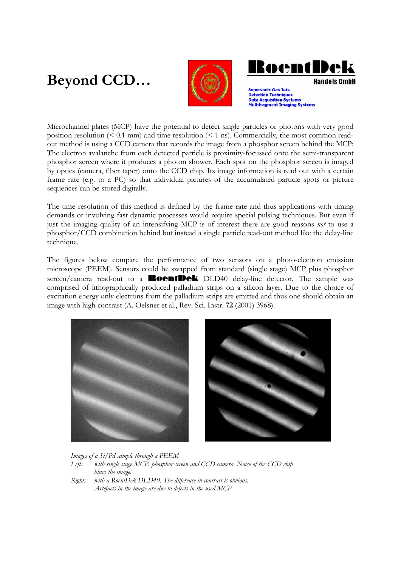## **Beyond CCD…**



**RoentDe Handels GmhH** 

**Supersonic Gas Jets Detection Techniques Data Acquisition Systems** Multifragment Imaging Systems

Microchannel plates (MCP) have the potential to detect single particles or photons with very good position resolution  $($   $\leq$  0.1 mm) and time resolution  $($   $\leq$  1 ns). Commercially, the most common readout method is using a CCD camera that records the image from a phosphor screen behind the MCP: The electron avalanche from each detected particle is proximity-focussed onto the semi-transparent phosphor screen where it produces a photon shower. Each spot on the phosphor screen is imaged by optics (camera, fiber taper) onto the CCD chip. Its image information is read out with a certain frame rate (e.g. to a PC) so that individual pictures of the accumulated particle spots or picture sequences can be stored digitally.

The time resolution of this method is defined by the frame rate and thus applications with timing demands or involving fast dynamic processes would require special pulsing techniques. But even if just the imaging quality of an intensifying MCP is of interest there are good reasons *not* to use a phosphor/CCD combination behind but instead a single particle read-out method like the delay-line technique.

The figures below compare the performance of two sensors on a photo-electron emission microscope (PEEM). Sensors could be swapped from standard (single stage) MCP plus phosphor screen/camera read-out to a **RoentDek** DLD40 delay-line detector. The sample was comprised of lithographically produced palladium strips on a silicon layer. Due to the choice of excitation energy only electrons from the palladium strips are emitted and thus one should obtain an image with high contrast (A. Oelsner et al., Rev. Sci. Instr. **72** (2001) 3968).



*Images of a Si/Pd sample through a PEEM*  Left: with single stage MCP, phosphor screen and CCD camera. Noise of the CCD chip  *blurs the image.* 

*Right: with a RoentDek DLD40. The difference in contrast is obvious. Artefacts in the image are due to defects in the used MCP*